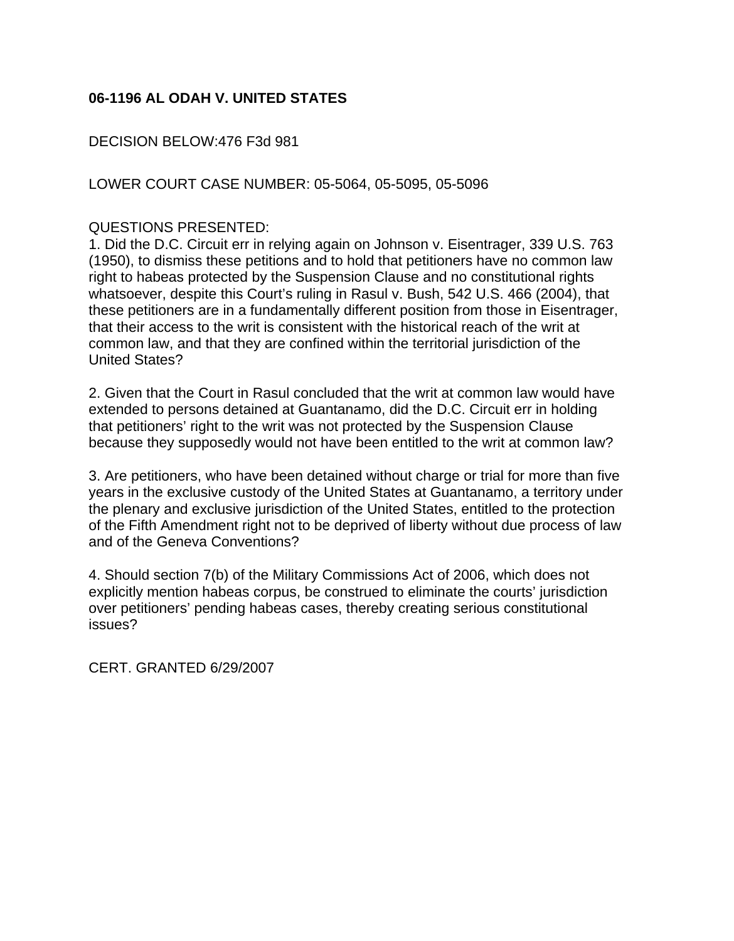## **06-1196 AL ODAH V. UNITED STATES**

DECISION BELOW:476 F3d 981

LOWER COURT CASE NUMBER: 05-5064, 05-5095, 05-5096

## QUESTIONS PRESENTED:

1. Did the D.C. Circuit err in relying again on Johnson v. Eisentrager, 339 U.S. 763 (1950), to dismiss these petitions and to hold that petitioners have no common law right to habeas protected by the Suspension Clause and no constitutional rights whatsoever, despite this Court's ruling in Rasul v. Bush, 542 U.S. 466 (2004), that these petitioners are in a fundamentally different position from those in Eisentrager, that their access to the writ is consistent with the historical reach of the writ at common law, and that they are confined within the territorial jurisdiction of the United States?

2. Given that the Court in Rasul concluded that the writ at common law would have extended to persons detained at Guantanamo, did the D.C. Circuit err in holding that petitioners' right to the writ was not protected by the Suspension Clause because they supposedly would not have been entitled to the writ at common law?

3. Are petitioners, who have been detained without charge or trial for more than five years in the exclusive custody of the United States at Guantanamo, a territory under the plenary and exclusive jurisdiction of the United States, entitled to the protection of the Fifth Amendment right not to be deprived of liberty without due process of law and of the Geneva Conventions?

4. Should section 7(b) of the Military Commissions Act of 2006, which does not explicitly mention habeas corpus, be construed to eliminate the courts' jurisdiction over petitioners' pending habeas cases, thereby creating serious constitutional issues?

CERT. GRANTED 6/29/2007